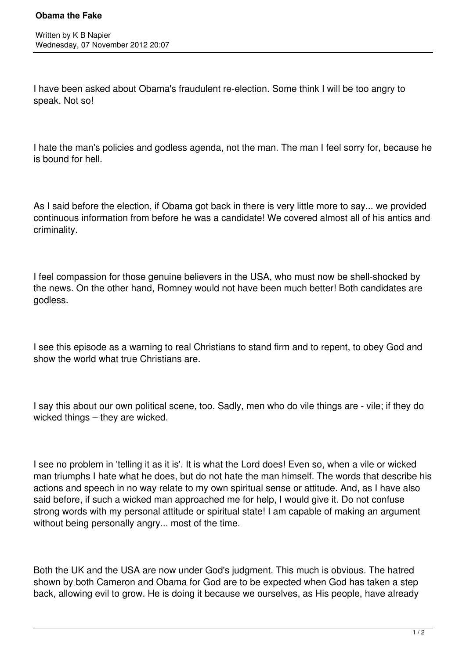I have been asked about Obama's fraudulent re-election. Some think I will be too angry to speak. Not so!

I hate the man's policies and godless agenda, not the man. The man I feel sorry for, because he is bound for hell.

As I said before the election, if Obama got back in there is very little more to say... we provided continuous information from before he was a candidate! We covered almost all of his antics and criminality.

I feel compassion for those genuine believers in the USA, who must now be shell-shocked by the news. On the other hand, Romney would not have been much better! Both candidates are godless.

I see this episode as a warning to real Christians to stand firm and to repent, to obey God and show the world what true Christians are.

I say this about our own political scene, too. Sadly, men who do vile things are - vile; if they do wicked things – they are wicked.

I see no problem in 'telling it as it is'. It is what the Lord does! Even so, when a vile or wicked man triumphs I hate what he does, but do not hate the man himself. The words that describe his actions and speech in no way relate to my own spiritual sense or attitude. And, as I have also said before, if such a wicked man approached me for help, I would give it. Do not confuse strong words with my personal attitude or spiritual state! I am capable of making an argument without being personally angry... most of the time.

Both the UK and the USA are now under God's judgment. This much is obvious. The hatred shown by both Cameron and Obama for God are to be expected when God has taken a step back, allowing evil to grow. He is doing it because we ourselves, as His people, have already